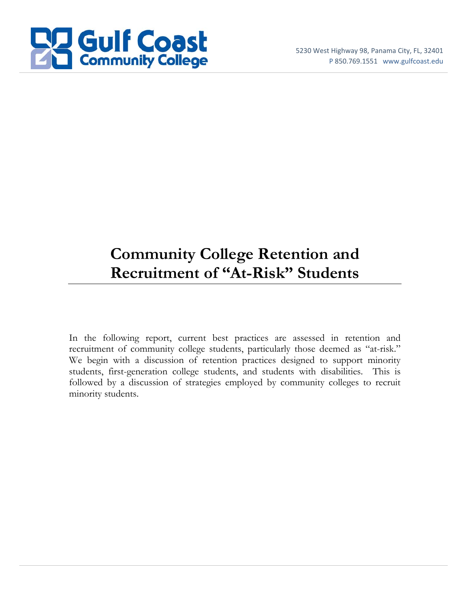

# **Community College Retention and Recruitment of "At-Risk" Students**

In the following report, current best practices are assessed in retention and recruitment of community college students, particularly those deemed as "at-risk." We begin with a discussion of retention practices designed to support minority students, first-generation college students, and students with disabilities. This is followed by a discussion of strategies employed by community colleges to recruit minority students.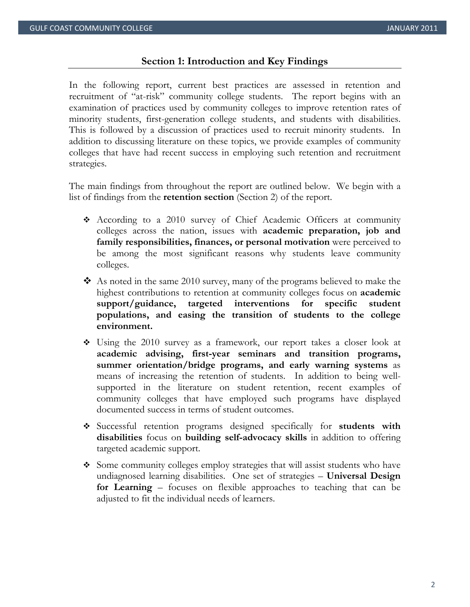#### **Section 1: Introduction and Key Findings**

In the following report, current best practices are assessed in retention and recruitment of "at-risk" community college students. The report begins with an examination of practices used by community colleges to improve retention rates of minority students, first-generation college students, and students with disabilities. This is followed by a discussion of practices used to recruit minority students. In addition to discussing literature on these topics, we provide examples of community colleges that have had recent success in employing such retention and recruitment strategies.

The main findings from throughout the report are outlined below. We begin with a list of findings from the **retention section** (Section 2) of the report.

- According to a 2010 survey of Chief Academic Officers at community colleges across the nation, issues with **academic preparation, job and family responsibilities, finances, or personal motivation** were perceived to be among the most significant reasons why students leave community colleges.
- As noted in the same 2010 survey, many of the programs believed to make the highest contributions to retention at community colleges focus on **academic support/guidance, targeted interventions for specific student populations, and easing the transition of students to the college environment.**
- Using the 2010 survey as a framework, our report takes a closer look at **academic advising, first-year seminars and transition programs, summer orientation/bridge programs, and early warning systems** as means of increasing the retention of students. In addition to being wellsupported in the literature on student retention, recent examples of community colleges that have employed such programs have displayed documented success in terms of student outcomes.
- Successful retention programs designed specifically for **students with disabilities** focus on **building self-advocacy skills** in addition to offering targeted academic support.
- Some community colleges employ strategies that will assist students who have undiagnosed learning disabilities. One set of strategies – **Universal Design for Learning** – focuses on flexible approaches to teaching that can be adjusted to fit the individual needs of learners.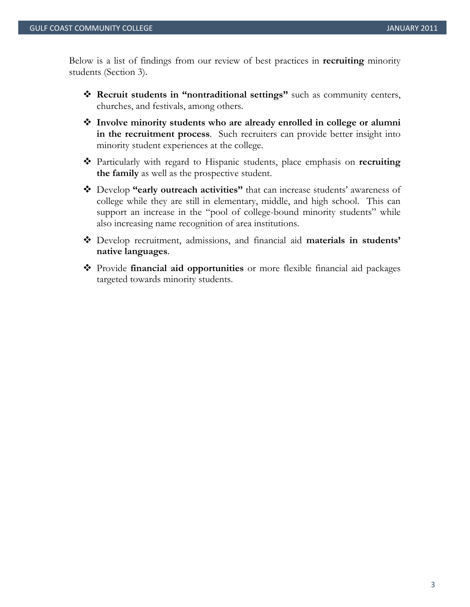Below is a list of findings from our review of best practices in **recruiting** minority students (Section 3).

- **Recruit students in "nontraditional settings"** such as community centers, churches, and festivals, among others.
- **Involve minority students who are already enrolled in college or alumni in the recruitment process**. Such recruiters can provide better insight into minority student experiences at the college.
- Particularly with regard to Hispanic students, place emphasis on **recruiting the family** as well as the prospective student.
- Develop **"early outreach activities"** that can increase students' awareness of college while they are still in elementary, middle, and high school. This can support an increase in the "pool of college-bound minority students" while also increasing name recognition of area institutions.
- Develop recruitment, admissions, and financial aid **materials in students' native languages**.
- Provide **financial aid opportunities** or more flexible financial aid packages targeted towards minority students.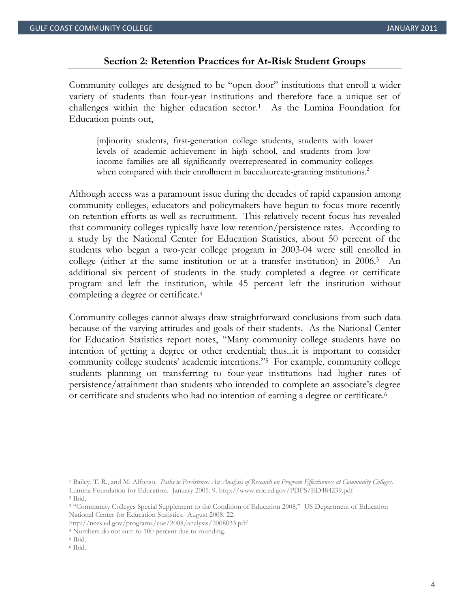#### **Section 2: Retention Practices for At-Risk Student Groups**

Community colleges are designed to be "open door" institutions that enroll a wider variety of students than four-year institutions and therefore face a unique set of challenges within the higher education sector.1 As the Lumina Foundation for Education points out,

[m]inority students, first-generation college students, students with lower levels of academic achievement in high school, and students from lowincome families are all significantly overrepresented in community colleges when compared with their enrollment in baccalaureate-granting institutions.<sup>2</sup>

Although access was a paramount issue during the decades of rapid expansion among community colleges, educators and policymakers have begun to focus more recently on retention efforts as well as recruitment. This relatively recent focus has revealed that community colleges typically have low retention/persistence rates. According to a study by the National Center for Education Statistics, about 50 percent of the students who began a two-year college program in 2003-04 were still enrolled in college (either at the same institution or at a transfer institution) in 2006.3 An additional six percent of students in the study completed a degree or certificate program and left the institution, while 45 percent left the institution without completing a degree or certificate.4

Community colleges cannot always draw straightforward conclusions from such data because of the varying attitudes and goals of their students. As the National Center for Education Statistics report notes, "Many community college students have no intention of getting a degree or other credential; thus...it is important to consider community college students' academic intentions."5 For example, community college students planning on transferring to four-year institutions had higher rates of persistence/attainment than students who intended to complete an associate's degree or certificate and students who had no intention of earning a degree or certificate.6

<sup>1</sup> Bailey, T. R., and M. Alfonso. *Paths to Persistence: An Analysis of Research on Program Effectiveness at Community Colleges.* Lumina Foundation for Education. January 2005. 9. http://www.eric.ed.gov/PDFS/ED484239.pdf 2 Ibid.

<sup>3 &</sup>quot;Community Colleges Special Supplement to the Condition of Education 2008." US Department of Education National Center for Education Statistics. August 2008. 22.

http://nces.ed.gov/programs/coe/2008/analysis/2008033.pdf 4 Numbers do not sum to 100 percent due to rounding. 5 Ibid.

<sup>6</sup> Ibid.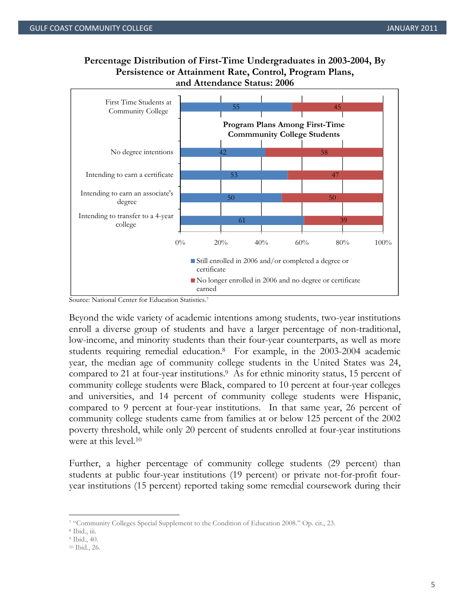# **Percentage Distribution of First-Time Undergraduates in 2003-2004, By Persistence or Attainment Rate, Control, Program Plans, and Attendance Status: 2006**



Source: National Center for Education Statistics.

Beyond the wide variety of academic intentions among students, two-year institutions enroll a diverse group of students and have a larger percentage of non-traditional, low-income, and minority students than their four-year counterparts, as well as more students requiring remedial education.8 For example, in the 2003-2004 academic year, the median age of community college students in the United States was 24, compared to 21 at four-year institutions.9 As for ethnic minority status, 15 percent of community college students were Black, compared to 10 percent at four-year colleges and universities, and 14 percent of community college students were Hispanic, compared to 9 percent at four-year institutions. In that same year, 26 percent of community college students came from families at or below 125 percent of the 2002 poverty threshold, while only 20 percent of students enrolled at four-year institutions were at this level.10

Further, a higher percentage of community college students (29 percent) than students at public four-year institutions (19 percent) or private not-for-profit fouryear institutions (15 percent) reported taking some remedial coursework during their

<sup>7 &</sup>quot;Community Colleges Special Supplement to the Condition of Education 2008." Op. cit., 23. 8 Ibid., iii.

<sup>9</sup> Ibid., 40.

<sup>10</sup> Ibid., 26.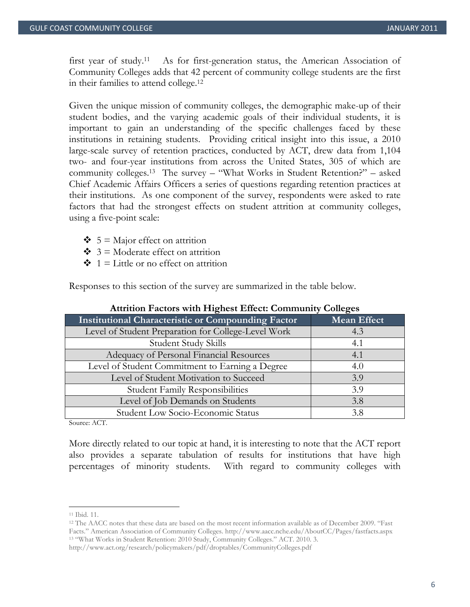first year of study.11 As for first-generation status, the American Association of Community Colleges adds that 42 percent of community college students are the first in their families to attend college.12

Given the unique mission of community colleges, the demographic make-up of their student bodies, and the varying academic goals of their individual students, it is important to gain an understanding of the specific challenges faced by these institutions in retaining students. Providing critical insight into this issue, a 2010 large-scale survey of retention practices, conducted by ACT, drew data from 1,104 two- and four-year institutions from across the United States, 305 of which are community colleges.13 The survey – "What Works in Student Retention?" – asked Chief Academic Affairs Officers a series of questions regarding retention practices at their institutions. As one component of the survey, respondents were asked to rate factors that had the strongest effects on student attrition at community colleges, using a five-point scale:

- $\div$  5 = Major effect on attrition
- $\div$  3 = Moderate effect on attrition
- $\div 1$  = Little or no effect on attrition

Responses to this section of the survey are summarized in the table below.

| <b>Institutional Characteristic or Compounding Factor</b> | <b>Mean Effect</b> |
|-----------------------------------------------------------|--------------------|
| Level of Student Preparation for College-Level Work       | 4.3                |
| Student Study Skills                                      | 4.1                |
| Adequacy of Personal Financial Resources                  | 4.1                |
| Level of Student Commitment to Earning a Degree           | 4.0                |
| Level of Student Motivation to Succeed                    | 3.9                |
| <b>Student Family Responsibilities</b>                    | 3.9                |
| Level of Job Demands on Students                          | 3.8                |
| Student Low Socio-Economic Status                         | 3.8                |

#### **Attrition Factors with Highest Effect: Community Colleges**

Source: ACT.

More directly related to our topic at hand, it is interesting to note that the ACT report also provides a separate tabulation of results for institutions that have high percentages of minority students. With regard to community colleges with

<sup>11</sup> Ibid. 11.

<sup>12</sup> The AACC notes that these data are based on the most recent information available as of December 2009. "Fast Facts." American Association of Community Colleges. http://www.aacc.nche.edu/AboutCC/Pages/fastfacts.aspx 13 "What Works in Student Retention: 2010 Study, Community Colleges." ACT. 2010. 3.

http://www.act.org/research/policymakers/pdf/droptables/CommunityColleges.pdf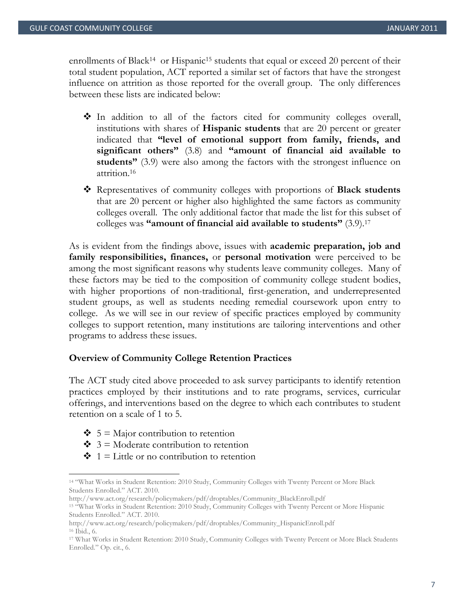enrollments of Black<sup>14</sup> or Hispanic<sup>15</sup> students that equal or exceed 20 percent of their total student population, ACT reported a similar set of factors that have the strongest influence on attrition as those reported for the overall group. The only differences between these lists are indicated below:

- $\cdot$  In addition to all of the factors cited for community colleges overall, institutions with shares of **Hispanic students** that are 20 percent or greater indicated that **"level of emotional support from family, friends, and significant others"** (3.8) and **"amount of financial aid available to students"** (3.9) were also among the factors with the strongest influence on attrition.16
- Representatives of community colleges with proportions of **Black students** that are 20 percent or higher also highlighted the same factors as community colleges overall. The only additional factor that made the list for this subset of colleges was **"amount of financial aid available to students"** (3.9).17

As is evident from the findings above, issues with **academic preparation, job and family responsibilities, finances,** or **personal motivation** were perceived to be among the most significant reasons why students leave community colleges. Many of these factors may be tied to the composition of community college student bodies, with higher proportions of non-traditional, first-generation, and underrepresented student groups, as well as students needing remedial coursework upon entry to college. As we will see in our review of specific practices employed by community colleges to support retention, many institutions are tailoring interventions and other programs to address these issues.

## **Overview of Community College Retention Practices**

The ACT study cited above proceeded to ask survey participants to identify retention practices employed by their institutions and to rate programs, services, curricular offerings, and interventions based on the degree to which each contributes to student retention on a scale of 1 to 5.

 $\div$  5 = Major contribution to retention

- $\div$  3 = Moderate contribution to retention
- $\div$  1 = Little or no contribution to retention

<sup>14 &</sup>quot;What Works in Student Retention: 2010 Study, Community Colleges with Twenty Percent or More Black Students Enrolled." ACT. 2010.

http://www.act.org/research/policymakers/pdf/droptables/Community\_BlackEnroll.pdf 15 "What Works in Student Retention: 2010 Study, Community Colleges with Twenty Percent or More Hispanic Students Enrolled." ACT. 2010.

http://www.act.org/research/policymakers/pdf/droptables/Community\_HispanicEnroll.pdf 16 Ibid., 6.

<sup>17</sup> What Works in Student Retention: 2010 Study, Community Colleges with Twenty Percent or More Black Students Enrolled." Op. cit., 6.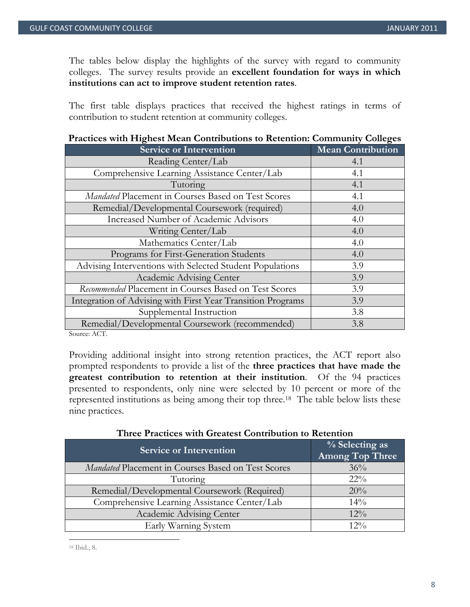The tables below display the highlights of the survey with regard to community colleges. The survey results provide an **excellent foundation for ways in which institutions can act to improve student retention rates**.

The first table displays practices that received the highest ratings in terms of contribution to student retention at community colleges.

| There will fugued became contributions to retention, community concerts |                   |
|-------------------------------------------------------------------------|-------------------|
| <b>Service or Intervention</b>                                          | Mean Contribution |
| Reading Center/Lab                                                      | 4.1               |
| Comprehensive Learning Assistance Center/Lab                            | 4.1               |
| Tutoring                                                                | 4.1               |
| Mandated Placement in Courses Based on Test Scores                      | 4.1               |
| Remedial/Developmental Coursework (required)                            | 4.0               |
| Increased Number of Academic Advisors                                   | 4.0               |
| Writing Center/Lab                                                      | 4.0               |
| Mathematics Center/Lab                                                  | 4.0               |
| Programs for First-Generation Students                                  | 4.0               |
| Advising Interventions with Selected Student Populations                | 3.9               |
| Academic Advising Center                                                | 3.9               |
| Recommended Placement in Courses Based on Test Scores                   | 3.9               |
| Integration of Advising with First Year Transition Programs             | 3.9               |
| Supplemental Instruction                                                | 3.8               |
| Remedial/Developmental Coursework (recommended)                         | 3.8               |
| $C_{\text{current}}$ $\Lambda$ $C$ <sup>T</sup>                         |                   |

# **Practices with Highest Mean Contributions to Retention: Community Colleges**

Source: ACT.

Providing additional insight into strong retention practices, the ACT report also prompted respondents to provide a list of the **three practices that have made the greatest contribution to retention at their institution**. Of the 94 practices presented to respondents, only nine were selected by 10 percent or more of the represented institutions as being among their top three.18 The table below lists these nine practices.

| <b>Service or Intervention</b>                     | $\frac{1}{2}$ Selecting as<br>Among Top Three |
|----------------------------------------------------|-----------------------------------------------|
| Mandated Placement in Courses Based on Test Scores | 36%                                           |
| Tutoring                                           | $22\%$                                        |
| Remedial/Developmental Coursework (Required)       | 20%                                           |
| Comprehensive Learning Assistance Center/Lab       | $14\%$                                        |
| Academic Advising Center                           | $12\%$                                        |
| Early Warning System                               | $12\%$                                        |

## **Three Practices with Greatest Contribution to Retention**

 18 Ibid., 8.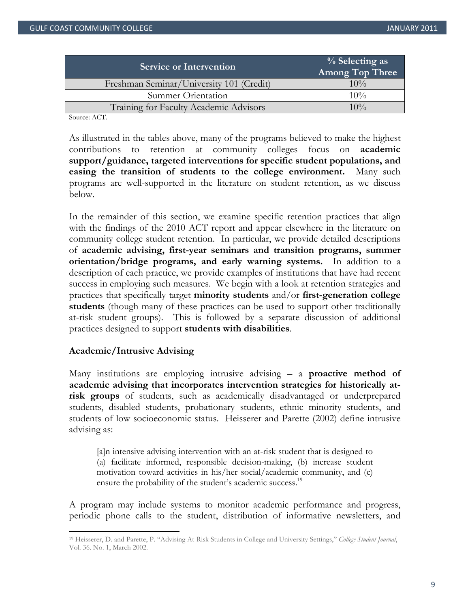| <b>Service or Intervention</b>           | $\%$ Selecting as<br>Among Top Three |
|------------------------------------------|--------------------------------------|
| Freshman Seminar/University 101 (Credit) | $10\%$                               |
| Summer Orientation                       | $10\%$                               |
| Training for Faculty Academic Advisors   | $10\%$                               |

Source: ACT.

As illustrated in the tables above, many of the programs believed to make the highest contributions to retention at community colleges focus on **academic support/guidance, targeted interventions for specific student populations, and easing the transition of students to the college environment.** Many such programs are well-supported in the literature on student retention, as we discuss below.

In the remainder of this section, we examine specific retention practices that align with the findings of the 2010 ACT report and appear elsewhere in the literature on community college student retention. In particular, we provide detailed descriptions of **academic advising, first-year seminars and transition programs, summer orientation/bridge programs, and early warning systems.** In addition to a description of each practice, we provide examples of institutions that have had recent success in employing such measures. We begin with a look at retention strategies and practices that specifically target **minority students** and/or **first-generation college students** (though many of these practices can be used to support other traditionally at-risk student groups). This is followed by a separate discussion of additional practices designed to support **students with disabilities**.

## **Academic/Intrusive Advising**

Many institutions are employing intrusive advising – a **proactive method of academic advising that incorporates intervention strategies for historically atrisk groups** of students, such as academically disadvantaged or underprepared students, disabled students, probationary students, ethnic minority students, and students of low socioeconomic status. Heisserer and Parette (2002) define intrusive advising as:

[a]n intensive advising intervention with an at-risk student that is designed to (a) facilitate informed, responsible decision-making, (b) increase student motivation toward activities in his/her social/academic community, and (c) ensure the probability of the student's academic success.<sup>19</sup>

A program may include systems to monitor academic performance and progress, periodic phone calls to the student, distribution of informative newsletters, and

<sup>19</sup> Heisserer, D. and Parette, P. "Advising At-Risk Students in College and University Settings," *College Student Journal*, Vol. 36. No. 1, March 2002.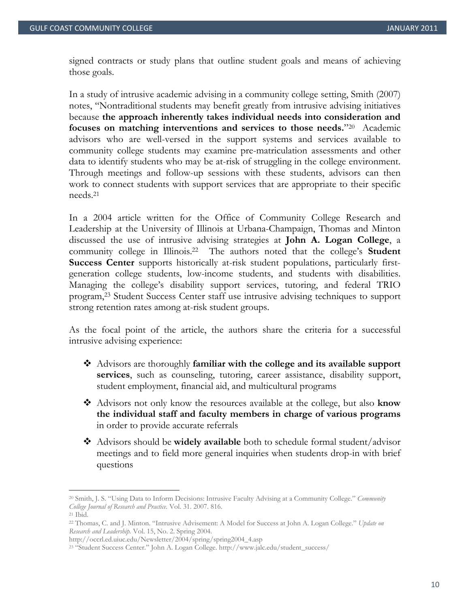signed contracts or study plans that outline student goals and means of achieving those goals.

In a study of intrusive academic advising in a community college setting, Smith (2007) notes, "Nontraditional students may benefit greatly from intrusive advising initiatives because **the approach inherently takes individual needs into consideration and focuses on matching interventions and services to those needs.**"20 Academic advisors who are well-versed in the support systems and services available to community college students may examine pre-matriculation assessments and other data to identify students who may be at-risk of struggling in the college environment. Through meetings and follow-up sessions with these students, advisors can then work to connect students with support services that are appropriate to their specific needs.21

In a 2004 article written for the Office of Community College Research and Leadership at the University of Illinois at Urbana-Champaign, Thomas and Minton discussed the use of intrusive advising strategies at **John A. Logan College**, a community college in Illinois.22 The authors noted that the college's **Student Success Center** supports historically at-risk student populations, particularly firstgeneration college students, low-income students, and students with disabilities. Managing the college's disability support services, tutoring, and federal TRIO program,23 Student Success Center staff use intrusive advising techniques to support strong retention rates among at-risk student groups.

As the focal point of the article, the authors share the criteria for a successful intrusive advising experience:

- Advisors are thoroughly **familiar with the college and its available support services**, such as counseling, tutoring, career assistance, disability support, student employment, financial aid, and multicultural programs
- Advisors not only know the resources available at the college, but also **know the individual staff and faculty members in charge of various programs** in order to provide accurate referrals
- Advisors should be **widely available** both to schedule formal student/advisor meetings and to field more general inquiries when students drop-in with brief questions

<sup>20</sup> Smith, J. S. "Using Data to Inform Decisions: Intrusive Faculty Advising at a Community College." *Community College Journal of Research and Practice.* Vol. 31. 2007. 816. 21 Ibid.

<sup>22</sup> Thomas, C. and J. Minton. "Intrusive Advisement: A Model for Success at John A. Logan College." *Update on Research and Leadership.* Vol. 15, No. 2. Spring 2004.

<sup>&</sup>lt;sup>23</sup> "Student Success Center." John A. Logan College. http://www.jalc.edu/student\_success/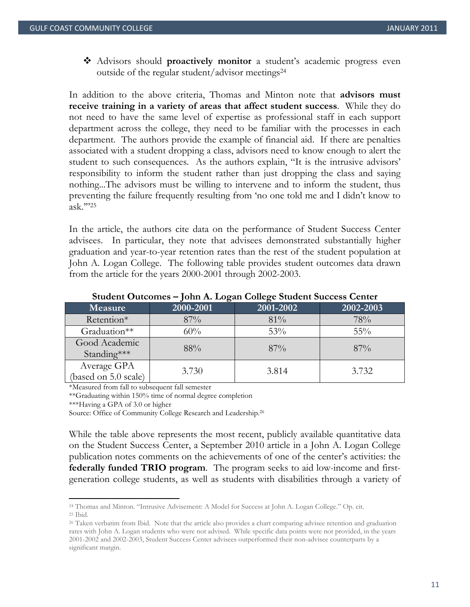Advisors should **proactively monitor** a student's academic progress even outside of the regular student/advisor meetings24

In addition to the above criteria, Thomas and Minton note that **advisors must receive training in a variety of areas that affect student success**. While they do not need to have the same level of expertise as professional staff in each support department across the college, they need to be familiar with the processes in each department. The authors provide the example of financial aid. If there are penalties associated with a student dropping a class, advisors need to know enough to alert the student to such consequences. As the authors explain, "It is the intrusive advisors' responsibility to inform the student rather than just dropping the class and saying nothing...The advisors must be willing to intervene and to inform the student, thus preventing the failure frequently resulting from 'no one told me and I didn't know to ask.'"25

In the article, the authors cite data on the performance of Student Success Center advisees. In particular, they note that advisees demonstrated substantially higher graduation and year-to-year retention rates than the rest of the student population at John A. Logan College. The following table provides student outcomes data drawn from the article for the years 2000-2001 through 2002-2003.

|                                     | v<br>$\epsilon$ |           |           |
|-------------------------------------|-----------------|-----------|-----------|
| <b>Measure</b>                      | 2000-2001       | 2001-2002 | 2002-2003 |
| Retention*                          | 87%             | 81%       | 78%       |
| Graduation**                        | 60%             | 53%       | $55\%$    |
| Good Academic<br>Standing***        | 88%             | 87%       | $87\%$    |
| Average GPA<br>(based on 5.0 scale) | 3.730           | 3.814     | 3.732     |

#### **Student Outcomes – John A. Logan College Student Success Center**

\*Measured from fall to subsequent fall semester

\*\*Graduating within 150% time of normal degree completion

\*\*\*Having a GPA of 3.0 or higher

Source: Office of Community College Research and Leadership.<sup>26</sup>

While the table above represents the most recent, publicly available quantitative data on the Student Success Center, a September 2010 article in a John A. Logan College publication notes comments on the achievements of one of the center's activities: the **federally funded TRIO program**. The program seeks to aid low-income and firstgeneration college students, as well as students with disabilities through a variety of

<sup>24</sup> Thomas and Minton. "Intrusive Advisement: A Model for Success at John A. Logan College." Op. cit. 25 Ibid.

<sup>26</sup> Taken verbatim from Ibid. Note that the article also provides a chart comparing advisee retention and graduation rates with John A. Logan students who were not advised. While specific data points were not provided, in the years 2001-2002 and 2002-2003, Student Success Center advisees outperformed their non-advisee counterparts by a significant margin.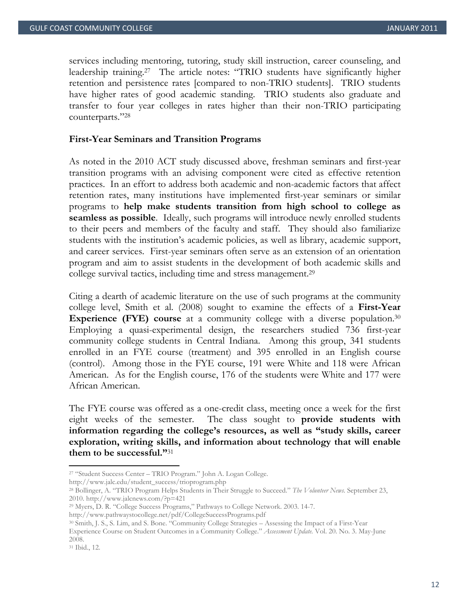services including mentoring, tutoring, study skill instruction, career counseling, and leadership training.27 The article notes: "TRIO students have significantly higher retention and persistence rates [compared to non-TRIO students]. TRIO students have higher rates of good academic standing. TRIO students also graduate and transfer to four year colleges in rates higher than their non-TRIO participating counterparts."28

#### **First-Year Seminars and Transition Programs**

As noted in the 2010 ACT study discussed above, freshman seminars and first-year transition programs with an advising component were cited as effective retention practices. In an effort to address both academic and non-academic factors that affect retention rates, many institutions have implemented first-year seminars or similar programs to **help make students transition from high school to college as seamless as possible**. Ideally, such programs will introduce newly enrolled students to their peers and members of the faculty and staff. They should also familiarize students with the institution's academic policies, as well as library, academic support, and career services. First-year seminars often serve as an extension of an orientation program and aim to assist students in the development of both academic skills and college survival tactics, including time and stress management.29

Citing a dearth of academic literature on the use of such programs at the community college level, Smith et al. (2008) sought to examine the effects of a **First-Year Experience (FYE) course** at a community college with a diverse population.<sup>30</sup> Employing a quasi-experimental design, the researchers studied 736 first-year community college students in Central Indiana. Among this group, 341 students enrolled in an FYE course (treatment) and 395 enrolled in an English course (control). Among those in the FYE course, 191 were White and 118 were African American. As for the English course, 176 of the students were White and 177 were African American.

The FYE course was offered as a one-credit class, meeting once a week for the first eight weeks of the semester. The class sought to **provide students with information regarding the college's resources, as well as "study skills, career exploration, writing skills, and information about technology that will enable them to be successful."**31

http://www.jalc.edu/student\_success/trioprogram.php

<sup>27 &</sup>quot;Student Success Center – TRIO Program." John A. Logan College.

<sup>28</sup> Bollinger, A. "TRIO Program Helps Students in Their Struggle to Succeed." *The Volunteer News.* September 23, 2010. http://www.jalcnews.com/?p=421

<sup>29</sup> Myers, D. R. "College Success Programs," Pathways to College Network. 2003. 14-7.

http://www.pathwaystocollege.net/pdf/CollegeSuccessPrograms.pdf 30 Smith, J. S., S. Lim, and S. Bone. "Community College Strategies – Assessing the Impact of a First-Year Experience Course on Student Outcomes in a Community College." *Assessment Update.* Vol. 20. No. 3. May-June 2008.

<sup>31</sup> Ibid., 12.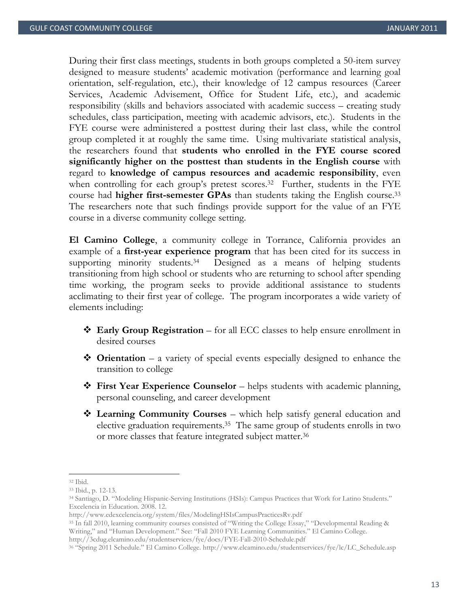During their first class meetings, students in both groups completed a 50-item survey designed to measure students' academic motivation (performance and learning goal orientation, self-regulation, etc.), their knowledge of 12 campus resources (Career Services, Academic Advisement, Office for Student Life, etc.), and academic responsibility (skills and behaviors associated with academic success – creating study schedules, class participation, meeting with academic advisors, etc.). Students in the FYE course were administered a posttest during their last class, while the control group completed it at roughly the same time. Using multivariate statistical analysis, the researchers found that **students who enrolled in the FYE course scored significantly higher on the posttest than students in the English course** with regard to **knowledge of campus resources and academic responsibility**, even when controlling for each group's pretest scores.<sup>32</sup> Further, students in the FYE course had **higher first-semester GPAs** than students taking the English course.33 The researchers note that such findings provide support for the value of an FYE course in a diverse community college setting.

**El Camino College**, a community college in Torrance, California provides an example of a **first-year experience program** that has been cited for its success in supporting minority students.<sup>34</sup> Designed as a means of helping students transitioning from high school or students who are returning to school after spending time working, the program seeks to provide additional assistance to students acclimating to their first year of college. The program incorporates a wide variety of elements including:

- **Early Group Registration** for all ECC classes to help ensure enrollment in desired courses
- **◆ Orientation** a variety of special events especially designed to enhance the transition to college
- **First Year Experience Counselor** helps students with academic planning, personal counseling, and career development
- **Learning Community Courses** which help satisfy general education and elective graduation requirements.35 The same group of students enrolls in two or more classes that feature integrated subject matter.36

<sup>32</sup> Ibid.

<sup>33</sup> Ibid., p. 12-13.

<sup>34</sup> Santiago, D. "Modeling Hispanic-Serving Institutions (HSIs): Campus Practices that Work for Latino Students." Excelencia in Education. 2008. 12.

http://www.edexcelencia.org/system/files/ModelingHSIsCampusPracticesRv.pdf 35 In fall 2010, learning community courses consisted of "Writing the College Essay," "Developmental Reading & Writing," and "Human Development." See: "Fall 2010 FYE Learning Communities." El Camino College.

http://3cdug.elcamino.edu/studentservices/fye/docs/FYE-Fall-2010-Schedule.pdf 36 "Spring 2011 Schedule." El Camino College. http://www.elcamino.edu/studentservices/fye/lc/LC\_Schedule.asp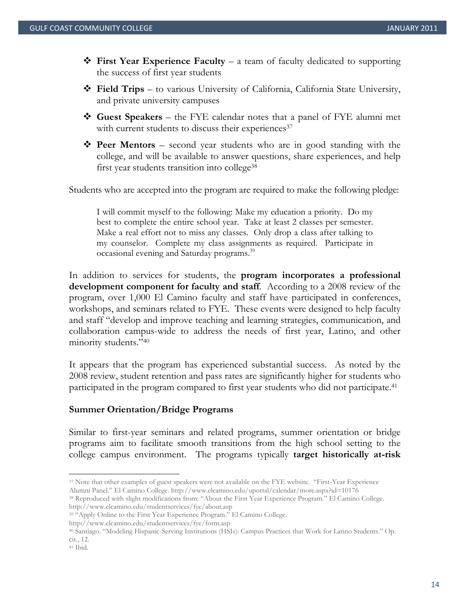- **\*** First Year Experience Faculty a team of faculty dedicated to supporting the success of first year students
- **Field Trips** to various University of California, California State University, and private university campuses
- **Guest Speakers** the FYE calendar notes that a panel of FYE alumni met with current students to discuss their experiences<sup>37</sup>
- **\*** Peer Mentors second year students who are in good standing with the college, and will be available to answer questions, share experiences, and help first year students transition into college<sup>38</sup>

Students who are accepted into the program are required to make the following pledge:

I will commit myself to the following: Make my education a priority. Do my best to complete the entire school year. Take at least 2 classes per semester. Make a real effort not to miss any classes. Only drop a class after talking to my counselor. Complete my class assignments as required. Participate in occasional evening and Saturday programs.<sup>39</sup>

In addition to services for students, the **program incorporates a professional development component for faculty and staff**. According to a 2008 review of the program, over 1,000 El Camino faculty and staff have participated in conferences, workshops, and seminars related to FYE. These events were designed to help faculty and staff "develop and improve teaching and learning strategies, communication, and collaboration campus-wide to address the needs of first year, Latino, and other minority students."40

It appears that the program has experienced substantial success. As noted by the 2008 review, student retention and pass rates are significantly higher for students who participated in the program compared to first year students who did not participate.<sup>41</sup>

#### **Summer Orientation/Bridge Programs**

Similar to first-year seminars and related programs, summer orientation or bridge programs aim to facilitate smooth transitions from the high school setting to the college campus environment. The programs typically **target historically at-risk** 

<sup>37</sup> Note that other examples of guest speakers were not available on the FYE website. "First-Year Experience

Alumni Panel." El Camino College. http://www.elcamino.edu/uportal/calendar/more.aspx?id=10176 38 Reproduced with slight modifications from: "About the First Year Experience Program." El Camino College. http://www.elcamino.

<sup>&</sup>lt;sup>39</sup> "Apply Online to the First Year Experience Program." El Camino College.

http://www.elcamino.edu/studentservices/fye/form.asp 40 Santiago. "Modeling Hispanic-Serving Institutions (HSIs): Campus Practices that Work for Latino Students." Op. cit., 12.

<sup>41</sup> Ibid.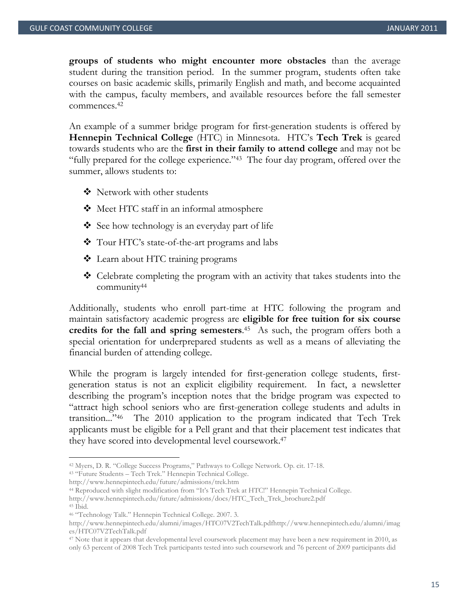**groups of students who might encounter more obstacles** than the average student during the transition period. In the summer program, students often take courses on basic academic skills, primarily English and math, and become acquainted with the campus, faculty members, and available resources before the fall semester commences.42

An example of a summer bridge program for first-generation students is offered by **Hennepin Technical College** (HTC) in Minnesota. HTC's **Tech Trek** is geared towards students who are the **first in their family to attend college** and may not be "fully prepared for the college experience."43 The four day program, offered over the summer, allows students to:

- ❖ Network with other students
- Meet HTC staff in an informal atmosphere
- $\bullet$  See how technology is an everyday part of life
- Tour HTC's state-of-the-art programs and labs
- Learn about HTC training programs
- ◆ Celebrate completing the program with an activity that takes students into the community44

Additionally, students who enroll part-time at HTC following the program and maintain satisfactory academic progress are **eligible for free tuition for six course**  credits for the fall and spring semesters.<sup>45</sup> As such, the program offers both a special orientation for underprepared students as well as a means of alleviating the financial burden of attending college.

While the program is largely intended for first-generation college students, firstgeneration status is not an explicit eligibility requirement. In fact, a newsletter describing the program's inception notes that the bridge program was expected to "attract high school seniors who are first-generation college students and adults in transition..."46 The 2010 application to the program indicated that Tech Trek applicants must be eligible for a Pell grant and that their placement test indicates that they have scored into developmental level coursework.47

<sup>42</sup> Myers, D. R. "College Success Programs," Pathways to College Network. Op. cit. 17-18. 43 "Future Students – Tech Trek." Hennepin Technical College.

http://www.hennepintech.edu/future/admissions/trek.htm 44 Reproduced with slight modification from "It's Tech Trek at HTC!" Hennepin Technical College. http://www.hennepintech.edu/future/admissions/docs/HTC\_Tech\_Trek\_brochure2.pdf 45 Ibid.

<sup>46 &</sup>quot;Technology Talk." Hennepin Technical College. 2007. 3.

http://www.hennepintech.edu/alumni/images/HTC07V2TechTalk.pdfhttp://www.hennepintech.edu/alumni/imag es/HTC07V2TechTalk.pdf

<sup>47</sup> Note that it appears that developmental level coursework placement may have been a new requirement in 2010, as only 63 percent of 2008 Tech Trek participants tested into such coursework and 76 percent of 2009 participants did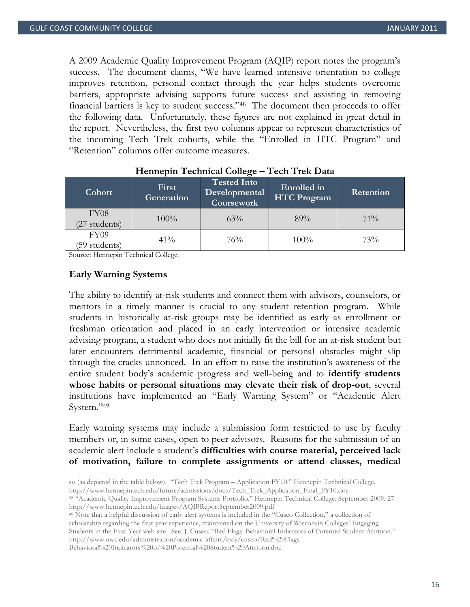A 2009 Academic Quality Improvement Program (AQIP) report notes the program's success. The document claims, "We have learned intensive orientation to college improves retention, personal contact through the year helps students overcome barriers, appropriate advising supports future success and assisting in removing financial barriers is key to student success."48 The document then proceeds to offer the following data. Unfortunately, these figures are not explained in great detail in the report. Nevertheless, the first two columns appear to represent characteristics of the incoming Tech Trek cohorts, while the "Enrolled in HTC Program" and "Retention" columns offer outcome measures.

| Cohort                            | First<br>Generation | <b>Tested Into</b><br>Developmental<br>Coursework | Enrolled in<br><b>HTC Program</b> | <b>Retention</b> |
|-----------------------------------|---------------------|---------------------------------------------------|-----------------------------------|------------------|
| FY <sub>08</sub><br>(27 students) | 100%                | $63\%$                                            | 89%                               | $71\%$           |
| FY09<br>(59 students)             | $41\%$              | 76%                                               | 100%                              | 73%              |

## **Hennepin Technical College – Tech Trek Data**

Source: Hennepin Technical College.

## **Early Warning Systems**

The ability to identify at-risk students and connect them with advisors, counselors, or mentors in a timely manner is crucial to any student retention program. While students in historically at-risk groups may be identified as early as enrollment or freshman orientation and placed in an early intervention or intensive academic advising program, a student who does not initially fit the bill for an at-risk student but later encounters detrimental academic, financial or personal obstacles might slip through the cracks unnoticed. In an effort to raise the institution's awareness of the entire student body's academic progress and well-being and to **identify students whose habits or personal situations may elevate their risk of drop-out**, several institutions have implemented an "Early Warning System" or "Academic Alert System."49

Early warning systems may include a submission form restricted to use by faculty members or, in some cases, open to peer advisors. Reasons for the submission of an academic alert include a student's **difficulties with course material, perceived lack of motivation, failure to complete assignments or attend classes, medical** 

<u> 1989 - Andrea San Andrea San Andrea San Andrea San Andrea San Andrea San Andrea San Andrea San Andrea San An</u>

49 Note that a helpful discussion of early alert systems is included in the "Cuseo Collection," a collection of scholarship regarding the first-year experience, maintained on the University of Wisconsin Colleges' Engaging Students in the First Year web site. See: J. Cuseo. "Red Flags: Behavioral Indicators of Potential Student Attrition." http://www.uwc.edu/administration/academic-affairs/esfy/cuseo/Red%20Flags--

Behavioral%20Indicators%20of%20Potential%20Student%20Attrition.doc

so (as depicted in the table below). "Tech Trek Program – Application FY10." Hennepin Technical College. http://www.hennepintech.edu/future/admissions/docs/Tech\_Trek\_Application\_Final\_FY10.doc 48 "Academic Quality Improvement Program Systems Portfolio." Hennepin Technical College. September 2009. 27.

http://www.hennepintech.edu/images/AQIPReportSeptember2009.pdf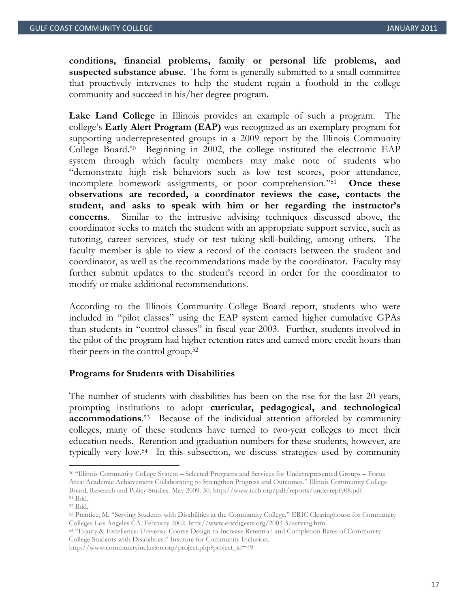**conditions, financial problems, family or personal life problems, and suspected substance abuse**. The form is generally submitted to a small committee that proactively intervenes to help the student regain a foothold in the college community and succeed in his/her degree program.

**Lake Land College** in Illinois provides an example of such a program. The college's **Early Alert Program (EAP)** was recognized as an exemplary program for supporting underrepresented groups in a 2009 report by the Illinois Community College Board.50 Beginning in 2002, the college instituted the electronic EAP system through which faculty members may make note of students who "demonstrate high risk behaviors such as low test scores, poor attendance, incomplete homework assignments, or poor comprehension."51 **Once these observations are recorded, a coordinator reviews the case, contacts the student, and asks to speak with him or her regarding the instructor's concerns**. Similar to the intrusive advising techniques discussed above, the coordinator seeks to match the student with an appropriate support service, such as tutoring, career services, study or test taking skill-building, among others. The faculty member is able to view a record of the contacts between the student and coordinator, as well as the recommendations made by the coordinator. Faculty may further submit updates to the student's record in order for the coordinator to modify or make additional recommendations.

According to the Illinois Community College Board report, students who were included in "pilot classes" using the EAP system earned higher cumulative GPAs than students in "control classes" in fiscal year 2003. Further, students involved in the pilot of the program had higher retention rates and earned more credit hours than their peers in the control group.52

#### **Programs for Students with Disabilities**

The number of students with disabilities has been on the rise for the last 20 years, prompting institutions to adopt **curricular, pedagogical, and technological accommodations**. 53 Because of the individual attention afforded by community colleges, many of these students have turned to two-year colleges to meet their education needs. Retention and graduation numbers for these students, however, are typically very low.54 In this subsection, we discuss strategies used by community

College Students with Disabilities." Institute for Community Inclusion.

<sup>50 &</sup>quot;Illinois Community College System – Selected Programs and Services for Underrepresented Groups – Focus Area: Academic Achievement Collaborating to Strengthen Progress and Outcomes." Illinois Community College Board, Research and Policy Studies. May 2009. 50. http://www.iccb.org/pdf/reports/underrepfy08.pdf 51 Ibid.

<sup>52</sup> Ibid.

<sup>53</sup> Prentice, M. "Serving Students with Disabilities at the Community College." ERIC Clearinghouse for Community Colleges Los Angeles CA. February 2002. http://www.ericdigests.org/2003-3/serving.htm 54 "Equity & Excellence: Universal Course Design to Increase Retention and Completion Rates of Community

http://www.communityinclusion.org/project.php?project\_id=49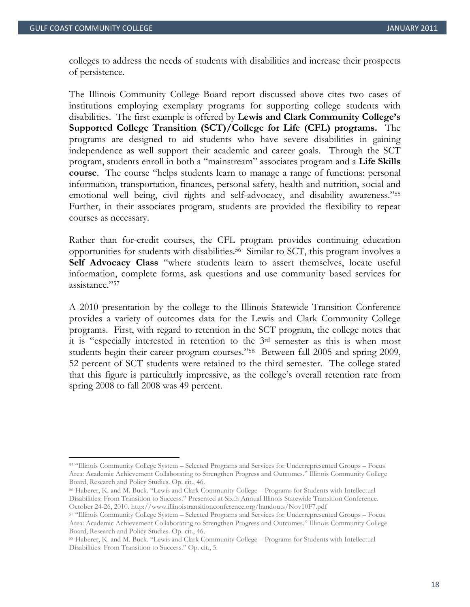colleges to address the needs of students with disabilities and increase their prospects of persistence.

The Illinois Community College Board report discussed above cites two cases of institutions employing exemplary programs for supporting college students with disabilities. The first example is offered by **Lewis and Clark Community College's Supported College Transition (SCT)/College for Life (CFL) programs.** The programs are designed to aid students who have severe disabilities in gaining independence as well support their academic and career goals. Through the SCT program, students enroll in both a "mainstream" associates program and a **Life Skills course**. The course "helps students learn to manage a range of functions: personal information, transportation, finances, personal safety, health and nutrition, social and emotional well being, civil rights and self-advocacy, and disability awareness."55 Further, in their associates program, students are provided the flexibility to repeat courses as necessary.

Rather than for-credit courses, the CFL program provides continuing education opportunities for students with disabilities.56 Similar to SCT, this program involves a **Self Advocacy Class** "where students learn to assert themselves, locate useful information, complete forms, ask questions and use community based services for assistance."57

A 2010 presentation by the college to the Illinois Statewide Transition Conference provides a variety of outcomes data for the Lewis and Clark Community College programs. First, with regard to retention in the SCT program, the college notes that it is "especially interested in retention to the 3rd semester as this is when most students begin their career program courses."58 Between fall 2005 and spring 2009, 52 percent of SCT students were retained to the third semester. The college stated that this figure is particularly impressive, as the college's overall retention rate from spring 2008 to fall 2008 was 49 percent.

<sup>55 &</sup>quot;Illinois Community College System – Selected Programs and Services for Underrepresented Groups – Focus Area: Academic Achievement Collaborating to Strengthen Progress and Outcomes." Illinois Community College Board, Research and Policy Studies. Op. cit., 46.

<sup>56</sup> Haberer, K. and M. Buck. "Lewis and Clark Community College – Programs for Students with Intellectual Disabilities: From Transition to Success." Presented at Sixth Annual Illinois Statewide Transition Conference.

October 24-26, 2010. http://www.illinoistransitionconference.org/handouts/Nov10F7.pdf 57 "Illinois Community College System – Selected Programs and Services for Underrepresented Groups – Focus Area: Academic Achievement Collaborating to Strengthen Progress and Outcomes." Illinois Community College Board, Research and Policy Studies. Op. cit., 46.

<sup>58</sup> Haberer, K. and M. Buck. "Lewis and Clark Community College – Programs for Students with Intellectual Disabilities: From Transition to Success." Op. cit., 5.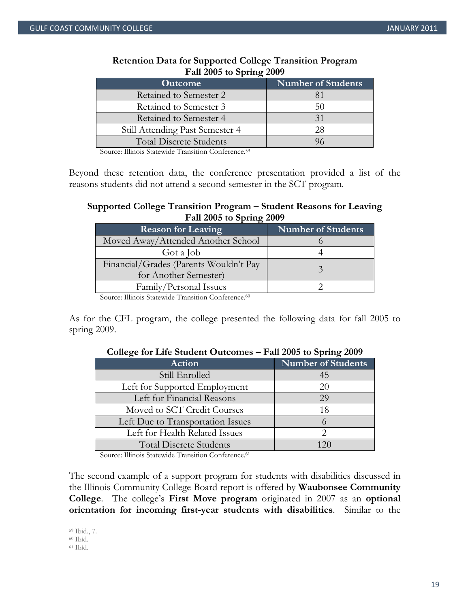| $1 \text{ m}$ 2000 to opting 2007<br><b>Outcome</b> | Number of Students |
|-----------------------------------------------------|--------------------|
| Retained to Semester 2                              |                    |
| Retained to Semester 3                              | 50                 |
| Retained to Semester 4                              | 31                 |
| Still Attending Past Semester 4                     | 28                 |
| <b>Total Discrete Students</b>                      |                    |

## **Retention Data for Supported College Transition Program Fall 2005 to Spring 2009**

Source: Illinois Statewide Transition Conference.59

Beyond these retention data, the conference presentation provided a list of the reasons students did not attend a second semester in the SCT program.

# **Supported College Transition Program – Student Reasons for Leaving Fall 2005 to Spring 2009**

| <b>Reason for Leaving</b>              | <b>Number of Students</b> |
|----------------------------------------|---------------------------|
| Moved Away/Attended Another School     |                           |
| Got a Job                              |                           |
| Financial/Grades (Parents Wouldn't Pay |                           |
| for Another Semester)                  |                           |
| Family/Personal Issues                 |                           |

Source: Illinois Statewide Transition Conference.<sup>60</sup>

As for the CFL program, the college presented the following data for fall 2005 to spring 2009.

| Action                            | <b>Number of Students</b> |
|-----------------------------------|---------------------------|
| Still Enrolled                    | 45                        |
| Left for Supported Employment     | 20                        |
| Left for Financial Reasons        | 29                        |
| Moved to SCT Credit Courses       | 18                        |
| Left Due to Transportation Issues |                           |
| Left for Health Related Issues    |                           |
| <b>Total Discrete Students</b>    | 120                       |
|                                   |                           |

# **College for Life Student Outcomes – Fall 2005 to Spring 2009**

Source: Illinois Statewide Transition Conference.<sup>61</sup>

The second example of a support program for students with disabilities discussed in the Illinois Community College Board report is offered by **Waubonsee Community College**. The college's **First Move program** originated in 2007 as an **optional orientation for incoming first-year students with disabilities**. Similar to the

<sup>59</sup> Ibid., 7.

<sup>60</sup> Ibid.

<sup>61</sup> Ibid.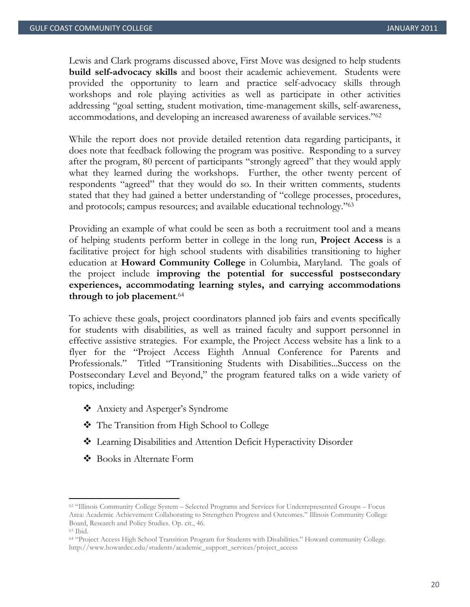Lewis and Clark programs discussed above, First Move was designed to help students **build self-advocacy skills** and boost their academic achievement. Students were provided the opportunity to learn and practice self-advocacy skills through workshops and role playing activities as well as participate in other activities addressing "goal setting, student motivation, time-management skills, self-awareness, accommodations, and developing an increased awareness of available services."62

While the report does not provide detailed retention data regarding participants, it does note that feedback following the program was positive. Responding to a survey after the program, 80 percent of participants "strongly agreed" that they would apply what they learned during the workshops. Further, the other twenty percent of respondents "agreed" that they would do so. In their written comments, students stated that they had gained a better understanding of "college processes, procedures, and protocols; campus resources; and available educational technology."63

Providing an example of what could be seen as both a recruitment tool and a means of helping students perform better in college in the long run, **Project Access** is a facilitative project for high school students with disabilities transitioning to higher education at **Howard Community College** in Columbia, Maryland. The goals of the project include **improving the potential for successful postsecondary experiences, accommodating learning styles, and carrying accommodations through to job placement**. 64

To achieve these goals, project coordinators planned job fairs and events specifically for students with disabilities, as well as trained faculty and support personnel in effective assistive strategies. For example, the Project Access website has a link to a flyer for the "Project Access Eighth Annual Conference for Parents and Professionals." Titled "Transitioning Students with Disabilities...Success on the Postsecondary Level and Beyond," the program featured talks on a wide variety of topics, including:

- Anxiety and Asperger's Syndrome
- The Transition from High School to College
- Learning Disabilities and Attention Deficit Hyperactivity Disorder
- Books in Alternate Form

<sup>62 &</sup>quot;Illinois Community College System – Selected Programs and Services for Underrepresented Groups – Focus Area: Academic Achievement Collaborating to Strengthen Progress and Outcomes." Illinois Community College Board, Research and Policy Studies. Op. cit., 46.

<sup>63</sup> Ibid.

<sup>64 &</sup>quot;Project Access High School Transition Program for Students with Disabilities." Howard community College. http://www.howardcc.edu/students/academic\_support\_services/project\_access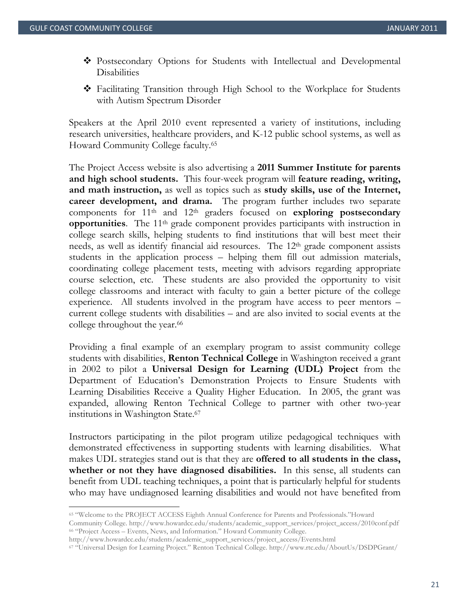- Postsecondary Options for Students with Intellectual and Developmental **Disabilities**
- Facilitating Transition through High School to the Workplace for Students with Autism Spectrum Disorder

Speakers at the April 2010 event represented a variety of institutions, including research universities, healthcare providers, and K-12 public school systems, as well as Howard Community College faculty.65

The Project Access website is also advertising a **2011 Summer Institute for parents and high school students.** This four-week program will **feature reading, writing, and math instruction,** as well as topics such as **study skills, use of the Internet, career development, and drama.** The program further includes two separate components for  $11<sup>th</sup>$  and  $12<sup>th</sup>$  graders focused on **exploring postsecondary opportunities**. The 11<sup>th</sup> grade component provides participants with instruction in college search skills, helping students to find institutions that will best meet their needs, as well as identify financial aid resources. The 12th grade component assists students in the application process – helping them fill out admission materials, coordinating college placement tests, meeting with advisors regarding appropriate course selection, etc. These students are also provided the opportunity to visit college classrooms and interact with faculty to gain a better picture of the college experience. All students involved in the program have access to peer mentors – current college students with disabilities – and are also invited to social events at the college throughout the year.<sup>66</sup>

Providing a final example of an exemplary program to assist community college students with disabilities, **Renton Technical College** in Washington received a grant in 2002 to pilot a **Universal Design for Learning (UDL) Project** from the Department of Education's Demonstration Projects to Ensure Students with Learning Disabilities Receive a Quality Higher Education. In 2005, the grant was expanded, allowing Renton Technical College to partner with other two-year institutions in Washington State.67

Instructors participating in the pilot program utilize pedagogical techniques with demonstrated effectiveness in supporting students with learning disabilities. What makes UDL strategies stand out is that they are **offered to all students in the class, whether or not they have diagnosed disabilities.** In this sense, all students can benefit from UDL teaching techniques, a point that is particularly helpful for students who may have undiagnosed learning disabilities and would not have benefited from

<sup>65 &</sup>quot;Welcome to the PROJECT ACCESS Eighth Annual Conference for Parents and Professionals."Howard Community College. http://www.howardcc.edu/students/academic\_support\_services/project\_access/2010conf.pdf 66 "Project Access – Events, News, and Information." Howard Community College.

http://www.howardcc.edu/students/academic\_support\_services/project\_access/Events.html 67 "Universal Design for Learning Project." Renton Technical College. http://www.rtc.edu/AboutUs/DSDPGrant/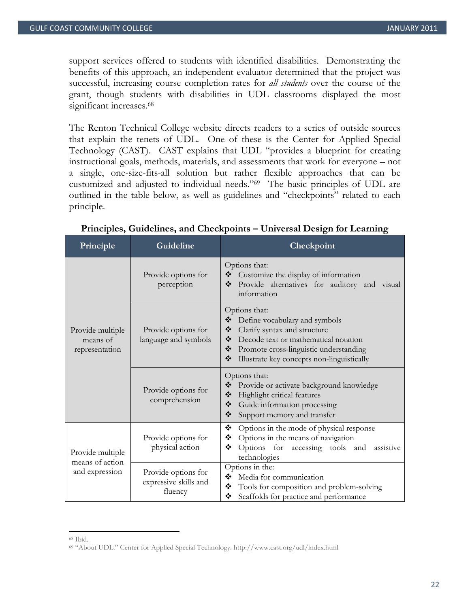support services offered to students with identified disabilities. Demonstrating the benefits of this approach, an independent evaluator determined that the project was successful, increasing course completion rates for *all students* over the course of the grant, though students with disabilities in UDL classrooms displayed the most significant increases.<sup>68</sup>

The Renton Technical College website directs readers to a series of outside sources that explain the tenets of UDL. One of these is the Center for Applied Special Technology (CAST). CAST explains that UDL "provides a blueprint for creating instructional goals, methods, materials, and assessments that work for everyone – not a single, one-size-fits-all solution but rather flexible approaches that can be customized and adjusted to individual needs."69 The basic principles of UDL are outlined in the table below, as well as guidelines and "checkpoints" related to each principle.

| Principle                                             | Guideline                                               | Checkpoint                                                                                                                                                                                                                              |  |
|-------------------------------------------------------|---------------------------------------------------------|-----------------------------------------------------------------------------------------------------------------------------------------------------------------------------------------------------------------------------------------|--|
| Provide multiple<br>means of<br>representation        | Provide options for<br>perception                       | Options that:<br>❖<br>Customize the display of information<br>❖<br>Provide alternatives for auditory and visual<br>information                                                                                                          |  |
|                                                       | Provide options for<br>language and symbols             | Options that:<br>❖<br>Define vocabulary and symbols<br>Clarify syntax and structure<br>❖<br>Decode text or mathematical notation<br>❖<br>❖<br>Promote cross-linguistic understanding<br>❖<br>Illustrate key concepts non-linguistically |  |
|                                                       | Provide options for<br>comprehension                    | Options that:<br>❖<br>Provide or activate background knowledge<br>$\frac{1}{2}$<br>Highlight critical features<br>❖<br>Guide information processing<br>❖<br>Support memory and transfer                                                 |  |
| Provide multiple<br>means of action<br>and expression | Provide options for<br>physical action                  | ❖<br>Options in the mode of physical response<br>❖<br>Options in the means of navigation<br>❖<br>Options for accessing tools and<br>assistive<br>technologies                                                                           |  |
|                                                       | Provide options for<br>expressive skills and<br>fluency | Options in the:<br>❖<br>Media for communication<br>❖<br>Tools for composition and problem-solving<br>❖<br>Scaffolds for practice and performance                                                                                        |  |

**Principles, Guidelines, and Checkpoints – Universal Design for Learning** 

<sup>68</sup> Ibid.

<sup>69 &</sup>quot;About UDL." Center for Applied Special Technology. http://www.cast.org/udl/index.html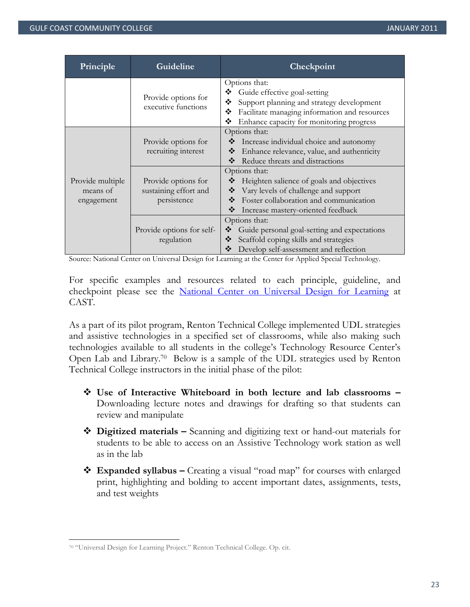| Principle                                  | Guideline                                                   | Checkpoint                                                                                                                                                                                                  |
|--------------------------------------------|-------------------------------------------------------------|-------------------------------------------------------------------------------------------------------------------------------------------------------------------------------------------------------------|
|                                            | Provide options for<br>executive functions                  | Options that:<br>Guide effective goal-setting<br>❖<br>❖<br>Support planning and strategy development<br>Facilitate managing information and resources<br>❖<br>❖<br>Enhance capacity for monitoring progress |
|                                            | Provide options for<br>recruiting interest                  | Options that:<br>Increase individual choice and autonomy<br>❖<br>❖<br>Enhance relevance, value, and authenticity<br>❖<br>Reduce threats and distractions                                                    |
| Provide multiple<br>means of<br>engagement | Provide options for<br>sustaining effort and<br>persistence | Options that:<br>Heighten salience of goals and objectives<br>Vary levels of challenge and support<br>❖<br>Foster collaboration and communication<br>❖<br>❖<br>Increase mastery-oriented feedback           |
|                                            | Provide options for self-<br>regulation                     | Options that:<br>Guide personal goal-setting and expectations<br>❖<br>Scaffold coping skills and strategies<br>❖<br>Develop self-assessment and reflection<br>❖                                             |

Source: National Center on Universal Design for Learning at the Center for Applied Special Technology.

For specific examples and resources related to each principle, guideline, and checkpoint please see the National Center on Universal Design for Learning at CAST.

As a part of its pilot program, Renton Technical College implemented UDL strategies and assistive technologies in a specified set of classrooms, while also making such technologies available to all students in the college's Technology Resource Center's Open Lab and Library.70 Below is a sample of the UDL strategies used by Renton Technical College instructors in the initial phase of the pilot:

- **Use of Interactive Whiteboard in both lecture and lab classrooms**  Downloading lecture notes and drawings for drafting so that students can review and manipulate
- **Digitized materials** Scanning and digitizing text or hand-out materials for students to be able to access on an Assistive Technology work station as well as in the lab
- **Expanded syllabus –** Creating a visual "road map" for courses with enlarged print, highlighting and bolding to accent important dates, assignments, tests, and test weights

<sup>70 &</sup>quot;Universal Design for Learning Project." Renton Technical College. Op. cit.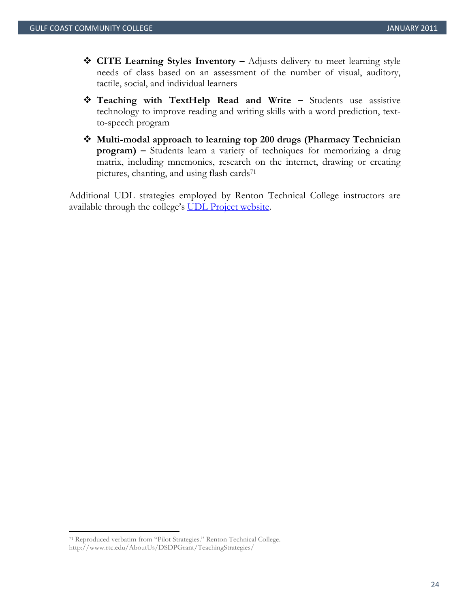- ◆ **CITE Learning Styles Inventory** Adjusts delivery to meet learning style needs of class based on an assessment of the number of visual, auditory, tactile, social, and individual learners
- **Teaching with TextHelp Read and Write –** Students use assistive technology to improve reading and writing skills with a word prediction, textto-speech program
- **Multi-modal approach to learning top 200 drugs (Pharmacy Technician program)** – Students learn a variety of techniques for memorizing a drug matrix, including mnemonics, research on the internet, drawing or creating pictures, chanting, and using flash cards<sup>71</sup>

Additional UDL strategies employed by Renton Technical College instructors are available through the college's UDL Project website.

<sup>71</sup> Reproduced verbatim from "Pilot Strategies." Renton Technical College. http://www.rtc.edu/AboutUs/DSDPGrant/TeachingStrategies/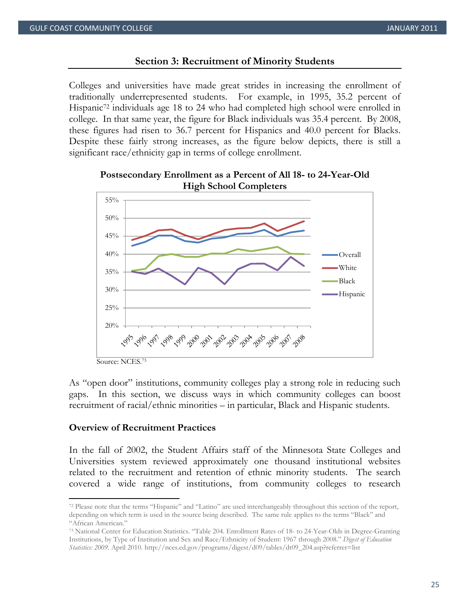## **Section 3: Recruitment of Minority Students**

Colleges and universities have made great strides in increasing the enrollment of traditionally underrepresented students. For example, in 1995, 35.2 percent of Hispanic<sup>72</sup> individuals age 18 to 24 who had completed high school were enrolled in college. In that same year, the figure for Black individuals was 35.4 percent. By 2008, these figures had risen to 36.7 percent for Hispanics and 40.0 percent for Blacks. Despite these fairly strong increases, as the figure below depicts, there is still a significant race/ethnicity gap in terms of college enrollment.





As "open door" institutions, community colleges play a strong role in reducing such gaps. In this section, we discuss ways in which community colleges can boost recruitment of racial/ethnic minorities – in particular, Black and Hispanic students.

## **Overview of Recruitment Practices**

In the fall of 2002, the Student Affairs staff of the Minnesota State Colleges and Universities system reviewed approximately one thousand institutional websites related to the recruitment and retention of ethnic minority students. The search covered a wide range of institutions, from community colleges to research

<sup>72</sup> Please note that the terms "Hispanic" and "Latino" are used interchangeably throughout this section of the report, depending on which term is used in the source being described. The same rule applies to the terms "Black" and "African American."

<sup>73</sup> National Center for Education Statistics. "Table 204. Enrollment Rates of 18- to 24-Year-Olds in Degree-Granting Institutions, by Type of Institution and Sex and Race/Ethnicity of Student: 1967 through 2008." *Digest of Education Statistics: 2009.* April 2010. http://nces.ed.gov/programs/digest/d09/tables/dt09\_204.asp?referrer=list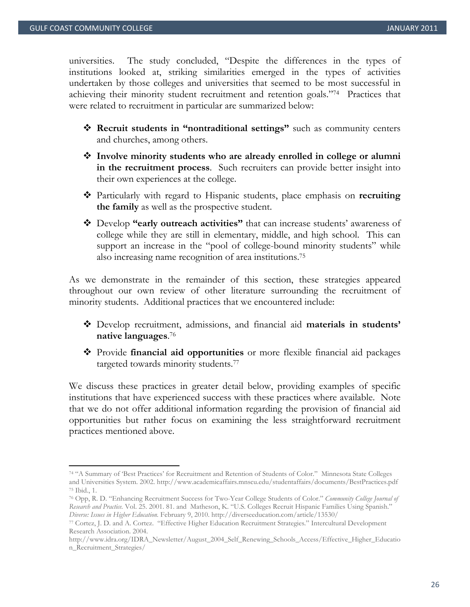universities. The study concluded, "Despite the differences in the types of institutions looked at, striking similarities emerged in the types of activities undertaken by those colleges and universities that seemed to be most successful in achieving their minority student recruitment and retention goals."74 Practices that were related to recruitment in particular are summarized below:

- **Recruit students in "nontraditional settings"** such as community centers and churches, among others.
- **Involve minority students who are already enrolled in college or alumni in the recruitment process**. Such recruiters can provide better insight into their own experiences at the college.
- Particularly with regard to Hispanic students, place emphasis on **recruiting the family** as well as the prospective student.
- Develop **"early outreach activities"** that can increase students' awareness of college while they are still in elementary, middle, and high school. This can support an increase in the "pool of college-bound minority students" while also increasing name recognition of area institutions.75

As we demonstrate in the remainder of this section, these strategies appeared throughout our own review of other literature surrounding the recruitment of minority students. Additional practices that we encountered include:

- Develop recruitment, admissions, and financial aid **materials in students' native languages**. 76
- Provide **financial aid opportunities** or more flexible financial aid packages targeted towards minority students.77

We discuss these practices in greater detail below, providing examples of specific institutions that have experienced success with these practices where available. Note that we do not offer additional information regarding the provision of financial aid opportunities but rather focus on examining the less straightforward recruitment practices mentioned above.

<sup>74 &</sup>quot;A Summary of 'Best Practices' for Recruitment and Retention of Students of Color." Minnesota State Colleges and Universities System. 2002. http://www.academicaffairs.mnscu.edu/studentaffairs/documents/BestPractices.pdf 75 Ibid., 1.

<sup>76</sup> Opp, R. D. "Enhancing Recruitment Success for Two-Year College Students of Color." *Community College Journal of Research and Practice.* Vol. 25. 2001. 81. and Matheson, K. "U.S. Colleges Recruit Hispanic Families Using Spanish."

*Diverse: Issues in Higher Education.* February 9, 2010. http://diverseeducation.com/article/13530/ 77 Cortez, J. D. and A. Cortez. "Effective Higher Education Recruitment Strategies*.*" Intercultural Development Research Association. 2004.

http://www.idra.org/IDRA\_Newsletter/August\_2004\_Self\_Renewing\_Schools\_Access/Effective\_Higher\_Educatio n\_Recruitment\_Strategies/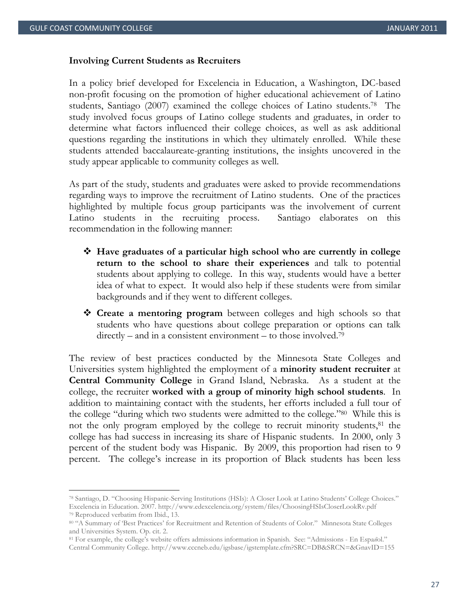#### **Involving Current Students as Recruiters**

In a policy brief developed for Excelencia in Education, a Washington, DC-based non-profit focusing on the promotion of higher educational achievement of Latino students, Santiago (2007) examined the college choices of Latino students.78 The study involved focus groups of Latino college students and graduates, in order to determine what factors influenced their college choices, as well as ask additional questions regarding the institutions in which they ultimately enrolled. While these students attended baccalaureate-granting institutions, the insights uncovered in the study appear applicable to community colleges as well.

As part of the study, students and graduates were asked to provide recommendations regarding ways to improve the recruitment of Latino students. One of the practices highlighted by multiple focus group participants was the involvement of current Latino students in the recruiting process. Santiago elaborates on this recommendation in the following manner:

- **Have graduates of a particular high school who are currently in college return to the school to share their experiences** and talk to potential students about applying to college. In this way, students would have a better idea of what to expect. It would also help if these students were from similar backgrounds and if they went to different colleges.
- **Create a mentoring program** between colleges and high schools so that students who have questions about college preparation or options can talk  $directly - and in a consistent environment - to those involved.<sup>79</sup>$

The review of best practices conducted by the Minnesota State Colleges and Universities system highlighted the employment of a **minority student recruiter** at **Central Community College** in Grand Island, Nebraska. As a student at the college, the recruiter **worked with a group of minority high school students**. In addition to maintaining contact with the students, her efforts included a full tour of the college "during which two students were admitted to the college."80 While this is not the only program employed by the college to recruit minority students,<sup>81</sup> the college has had success in increasing its share of Hispanic students. In 2000, only 3 percent of the student body was Hispanic. By 2009, this proportion had risen to 9 percent. The college's increase in its proportion of Black students has been less

<sup>78</sup> Santiago, D. "Choosing Hispanic-Serving Institutions (HSIs): A Closer Look at Latino Students' College Choices." Excelencia in Education. 2007. http://www.edexcelencia.org/system/files/ChoosingHSIsCloserLookRv.pdf 79 Reproduced verbatim from Ibid., 13.

<sup>80 &</sup>quot;A Summary of 'Best Practices' for Recruitment and Retention of Students of Color." Minnesota State Colleges and Universities System. Op. cit. 2.

<sup>81</sup> For example, the college's website offers admissions information in Spanish. See: "Admissions - En Espa*ñ*ol." Central Community College. http://www.cccneb.edu/igsbase/igstemplate.cfm?SRC=DB&SRCN=&GnavID=155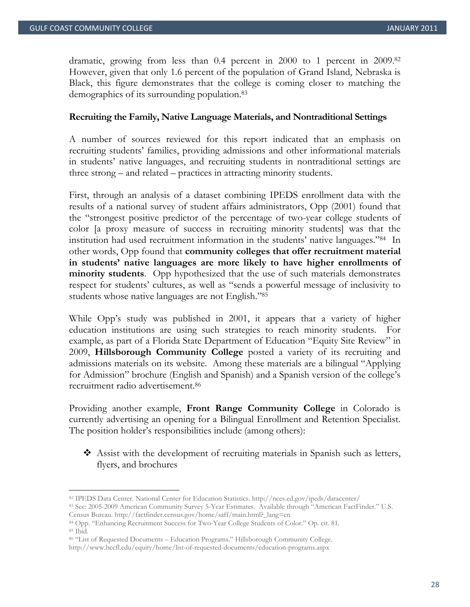dramatic, growing from less than 0.4 percent in 2000 to 1 percent in 2009.82 However, given that only 1.6 percent of the population of Grand Island, Nebraska is Black, this figure demonstrates that the college is coming closer to matching the demographics of its surrounding population.83

#### **Recruiting the Family, Native Language Materials, and Nontraditional Settings**

A number of sources reviewed for this report indicated that an emphasis on recruiting students' families, providing admissions and other informational materials in students' native languages, and recruiting students in nontraditional settings are three strong – and related – practices in attracting minority students.

First, through an analysis of a dataset combining IPEDS enrollment data with the results of a national survey of student affairs administrators, Opp (2001) found that the "strongest positive predictor of the percentage of two-year college students of color [a proxy measure of success in recruiting minority students] was that the institution had used recruitment information in the students' native languages."84 In other words, Opp found that **community colleges that offer recruitment material in students' native languages are more likely to have higher enrollments of minority students**. Opp hypothesized that the use of such materials demonstrates respect for students' cultures, as well as "sends a powerful message of inclusivity to students whose native languages are not English."85

While Opp's study was published in 2001, it appears that a variety of higher education institutions are using such strategies to reach minority students. For example, as part of a Florida State Department of Education "Equity Site Review" in 2009, **Hillsborough Community College** posted a variety of its recruiting and admissions materials on its website. Among these materials are a bilingual "Applying for Admission" brochure (English and Spanish) and a Spanish version of the college's recruitment radio advertisement.86

Providing another example, **Front Range Community College** in Colorado is currently advertising an opening for a Bilingual Enrollment and Retention Specialist. The position holder's responsibilities include (among others):

 Assist with the development of recruiting materials in Spanish such as letters, flyers, and brochures

<sup>82</sup> IPEDS Data Center. National Center for Education Statistics. http://nces.ed.gov/ipeds/datacenter/<br>83 See: 2005-2009 American Community Survey 5-Year Estimates. Available through "American FactFinder." U.S.

Census Bureau. http://factfinder.census.gov/home/saff/main.html?\_lang=en 84 Opp. "Enhancing Recruitment Success for Two-Year College Students of Color." Op. cit. 81. 85 Ibid.

<sup>86 &</sup>quot;List of Requested Documents – Education Programs." Hillsborough Community College.

http://www.hccfl.edu/equity/home/list-of-requested-documents/education-programs.aspx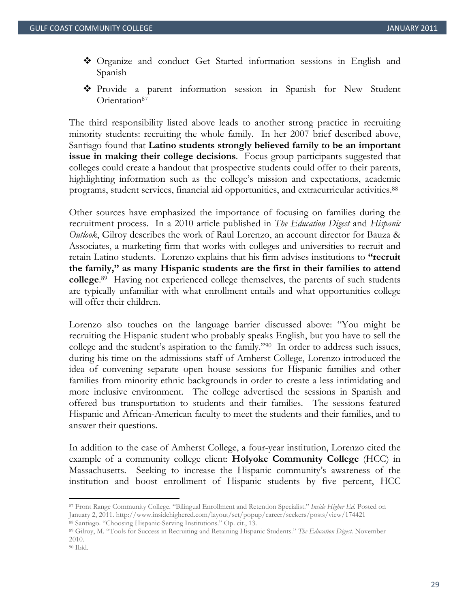- Organize and conduct Get Started information sessions in English and Spanish
- Provide a parent information session in Spanish for New Student Orientation<sup>87</sup>

The third responsibility listed above leads to another strong practice in recruiting minority students: recruiting the whole family. In her 2007 brief described above, Santiago found that **Latino students strongly believed family to be an important issue in making their college decisions**. Focus group participants suggested that colleges could create a handout that prospective students could offer to their parents, highlighting information such as the college's mission and expectations, academic programs, student services, financial aid opportunities, and extracurricular activities.88

Other sources have emphasized the importance of focusing on families during the recruitment process. In a 2010 article published in *The Education Digest* and *Hispanic Outlook*, Gilroy describes the work of Raul Lorenzo, an account director for Bauza & Associates, a marketing firm that works with colleges and universities to recruit and retain Latino students. Lorenzo explains that his firm advises institutions to **"recruit the family," as many Hispanic students are the first in their families to attend college**. 89 Having not experienced college themselves, the parents of such students are typically unfamiliar with what enrollment entails and what opportunities college will offer their children.

Lorenzo also touches on the language barrier discussed above: "You might be recruiting the Hispanic student who probably speaks English, but you have to sell the college and the student's aspiration to the family."90 In order to address such issues, during his time on the admissions staff of Amherst College, Lorenzo introduced the idea of convening separate open house sessions for Hispanic families and other families from minority ethnic backgrounds in order to create a less intimidating and more inclusive environment. The college advertised the sessions in Spanish and offered bus transportation to students and their families. The sessions featured Hispanic and African-American faculty to meet the students and their families, and to answer their questions.

In addition to the case of Amherst College, a four-year institution, Lorenzo cited the example of a community college client: **Holyoke Community College** (HCC) in Massachusetts. Seeking to increase the Hispanic community's awareness of the institution and boost enrollment of Hispanic students by five percent, HCC

<sup>87</sup> Front Range Community College. "Bilingual Enrollment and Retention Specialist." *Inside Higher Ed.* Posted on January 2, 2011. http://www.insidehighered.com/layout/set/popup/career/seekers/posts/view/174421<br><sup>88</sup> Santiago. "Choosing Hispanic-Serving Institutions." Op. cit., 13.<br><sup>89</sup> Gilroy, M. "Tools for Success in Recruiting and R

<sup>2010.</sup> 

<sup>90</sup> Ibid.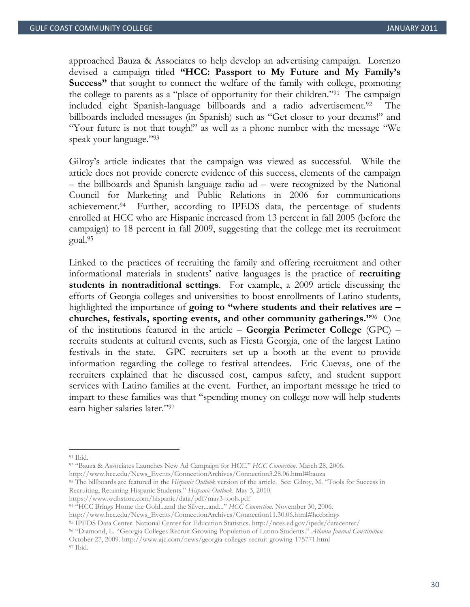approached Bauza & Associates to help develop an advertising campaign. Lorenzo devised a campaign titled **"HCC: Passport to My Future and My Family's Success"** that sought to connect the welfare of the family with college, promoting the college to parents as a "place of opportunity for their children."91 The campaign included eight Spanish-language billboards and a radio advertisement.92 The billboards included messages (in Spanish) such as "Get closer to your dreams!" and "Your future is not that tough!" as well as a phone number with the message "We speak your language."93

Gilroy's article indicates that the campaign was viewed as successful. While the article does not provide concrete evidence of this success, elements of the campaign – the billboards and Spanish language radio ad – were recognized by the National Council for Marketing and Public Relations in 2006 for communications achievement.94 Further, according to IPEDS data, the percentage of students enrolled at HCC who are Hispanic increased from 13 percent in fall 2005 (before the campaign) to 18 percent in fall 2009, suggesting that the college met its recruitment goal.95

Linked to the practices of recruiting the family and offering recruitment and other informational materials in students' native languages is the practice of **recruiting students in nontraditional settings**. For example, a 2009 article discussing the efforts of Georgia colleges and universities to boost enrollments of Latino students, highlighted the importance of **going to "where students and their relatives are – churches, festivals, sporting events, and other community gatherings."**96 One of the institutions featured in the article – **Georgia Perimeter College** (GPC) – recruits students at cultural events, such as Fiesta Georgia, one of the largest Latino festivals in the state. GPC recruiters set up a booth at the event to provide information regarding the college to festival attendees. Eric Cuevas, one of the recruiters explained that he discussed cost, campus safety, and student support services with Latino families at the event. Further, an important message he tried to impart to these families was that "spending money on college now will help students earn higher salaries later."97

<sup>91</sup> Ibid.

<sup>92 &</sup>quot;Bauza & Associates Launches New Ad Campaign for HCC." *HCC Connection.* March 28, 2006.

http://www.hcc.edu/News\_Events/ConnectionArchives/Connection3.28.06.html#bauza 93 The billboards are featured in the *Hispanic Outlook* version of the article. See: Gilroy, M. "Tools for Success in Recruiting, Retaining Hispanic Students." *Hispanic Outlook.* May 3, 2010.

https://www.wdhstore.com/hispanic/data/pdf/may3-tools.pdf 94 "HCC Brings Home the Gold...and the Silver...and..." *HCC Connection.* November 30, 2006.

http://www.hcc.edu/News\_Events/ConnectionArchives/Connection11.30.06.html#hccbrings<br><sup>95</sup> IPEDS Data Center. National Center for Education Statistics. http://nces.ed.gov/ipeds/datacenter/<br><sup>96</sup> "Diamond, L. "Georgia Colleges

October 27, 2009. http://www.ajc.com/news/georgia-colleges-recruit-growing-175771.html 97 Ibid.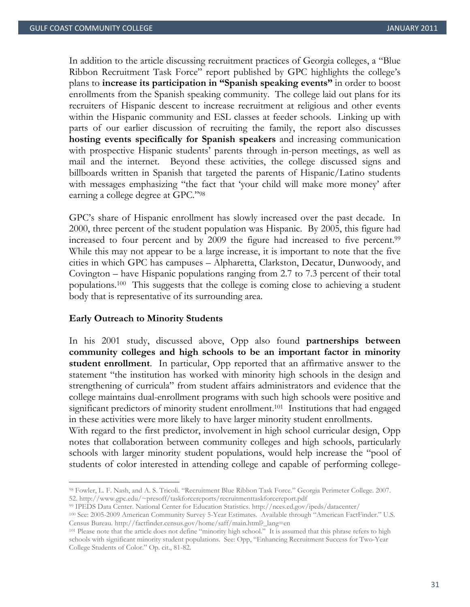In addition to the article discussing recruitment practices of Georgia colleges, a "Blue Ribbon Recruitment Task Force" report published by GPC highlights the college's plans to **increase its participation in "Spanish speaking events"** in order to boost enrollments from the Spanish speaking community. The college laid out plans for its recruiters of Hispanic descent to increase recruitment at religious and other events within the Hispanic community and ESL classes at feeder schools. Linking up with parts of our earlier discussion of recruiting the family, the report also discusses **hosting events specifically for Spanish speakers** and increasing communication with prospective Hispanic students' parents through in-person meetings, as well as mail and the internet. Beyond these activities, the college discussed signs and billboards written in Spanish that targeted the parents of Hispanic/Latino students with messages emphasizing "the fact that 'your child will make more money' after earning a college degree at GPC."98

GPC's share of Hispanic enrollment has slowly increased over the past decade. In 2000, three percent of the student population was Hispanic. By 2005, this figure had increased to four percent and by 2009 the figure had increased to five percent.<sup>99</sup> While this may not appear to be a large increase, it is important to note that the five cities in which GPC has campuses – Alpharetta, Clarkston, Decatur, Dunwoody, and Covington – have Hispanic populations ranging from 2.7 to 7.3 percent of their total populations.100 This suggests that the college is coming close to achieving a student body that is representative of its surrounding area.

#### **Early Outreach to Minority Students**

In his 2001 study, discussed above, Opp also found **partnerships between community colleges and high schools to be an important factor in minority student enrollment**. In particular, Opp reported that an affirmative answer to the statement "the institution has worked with minority high schools in the design and strengthening of curricula" from student affairs administrators and evidence that the college maintains dual-enrollment programs with such high schools were positive and significant predictors of minority student enrollment.<sup>101</sup> Institutions that had engaged in these activities were more likely to have larger minority student enrollments.

With regard to the first predictor, involvement in high school curricular design, Opp notes that collaboration between community colleges and high schools, particularly schools with larger minority student populations, would help increase the "pool of students of color interested in attending college and capable of performing college-

<sup>98</sup> Fowler, L. F. Nash, and A. S. Tricoli. "Recruitment Blue Ribbon Task Force." Georgia Perimeter College. 2007. 52. http://www.gpc.edu/~presoff/taskforcereports/recruitmenttaskforcereport.pdf<br><sup>99</sup> IPEDS Data Center. National Center for Education Statistics. http://nces.ed.gov/ipeds/datacenter/<br><sup>100</sup> See: 2005-2009 American Community

Census Bureau. http://factfinder.census.gov/home/saff/main.html?\_lang=en 101 Please note that the article does not define "minority high school." It is assumed that this phrase refers to high

schools with significant minority student populations. See: Opp, "Enhancing Recruitment Success for Two-Year College Students of Color." Op. cit., 81-82.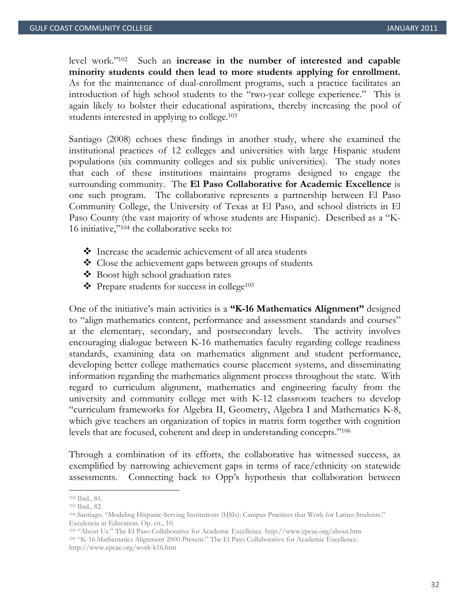level work."102 Such an **increase in the number of interested and capable minority students could then lead to more students applying for enrollment.** As for the maintenance of dual-enrollment programs, such a practice facilitates an introduction of high school students to the "two-year college experience." This is again likely to bolster their educational aspirations, thereby increasing the pool of students interested in applying to college.<sup>103</sup>

Santiago (2008) echoes these findings in another study, where she examined the institutional practices of 12 colleges and universities with large Hispanic student populations (six community colleges and six public universities). The study notes that each of these institutions maintains programs designed to engage the surrounding community. The **El Paso Collaborative for Academic Excellence** is one such program. The collaborative represents a partnership between El Paso Community College, the University of Texas at El Paso, and school districts in El Paso County (the vast majority of whose students are Hispanic). Described as a "K-16 initiative,"104 the collaborative seeks to:

- Increase the academic achievement of all area students
- ❖ Close the achievement gaps between groups of students
- Boost high school graduation rates
- $\triangleleft$  Prepare students for success in college<sup>105</sup>

One of the initiative's main activities is a **"K-16 Mathematics Alignment"** designed to "align mathematics content, performance and assessment standards and courses" at the elementary, secondary, and postsecondary levels. The activity involves encouraging dialogue between K-16 mathematics faculty regarding college readiness standards, examining data on mathematics alignment and student performance, developing better college mathematics course placement systems, and disseminating information regarding the mathematics alignment process throughout the state. With regard to curriculum alignment, mathematics and engineering faculty from the university and community college met with K-12 classroom teachers to develop "curriculum frameworks for Algebra II, Geometry, Algebra I and Mathematics K-8, which give teachers an organization of topics in matrix form together with cognition levels that are focused, coherent and deep in understanding concepts."106

Through a combination of its efforts, the collaborative has witnessed success, as exemplified by narrowing achievement gaps in terms of race/ethnicity on statewide assessments. Connecting back to Opp's hypothesis that collaboration between

<sup>102</sup> Ibid., 81.

<sup>103</sup> Ibid., 82.

<sup>104</sup> Santiago. "Modeling Hispanic-Serving Institutions (HSIs): Campus Practices that Work for Latino Students." Excelencia in Education. Op. cit., 10.

<sup>105 &</sup>quot;About Us." The El Paso Collaborative for Academic Excellence. http://www.epcae.org/about.htm 106 "K-16 Mathematics Alignment 2000-Present." The El Paso Collaborative for Academic Excellence. http://www.epcae.org/work-k16.htm